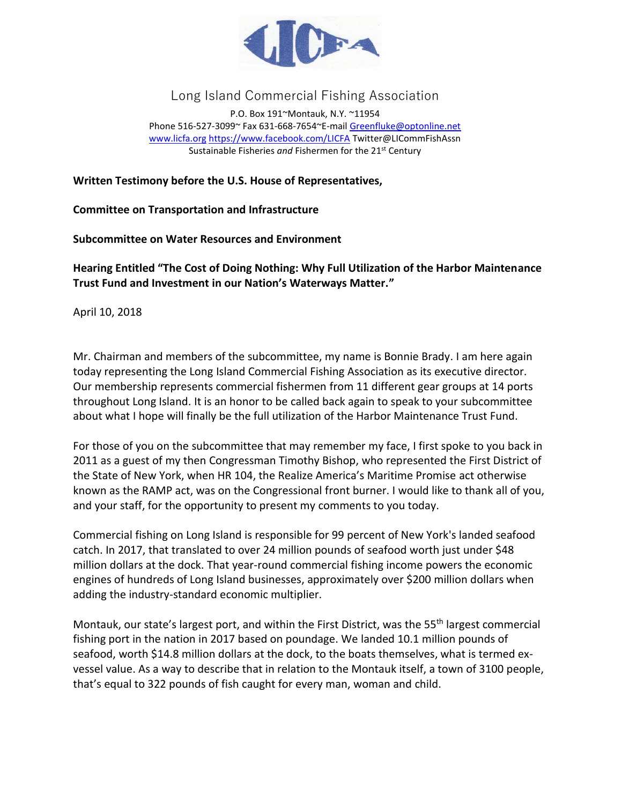

## Long Island Commercial Fishing Association

P.O. Box 191~Montauk, N.Y. ~11954 Phone 516-527-3099~ Fax 631-668-7654~E-mai[l Greenfluke@optonline.net](mailto:Greenfluke@optonline.net) [www.licfa.org](http://www.licfa.org/) <https://www.facebook.com/LICFA> Twitter@LICommFishAssn Sustainable Fisheries *and* Fishermen for the 21st Century

## **Written Testimony before the U.S. House of Representatives,**

**Committee on Transportation and Infrastructure**

**Subcommittee on Water Resources and Environment** 

**Hearing Entitled "The Cost of Doing Nothing: Why Full Utilization of the Harbor Maintenance Trust Fund and Investment in our Nation's Waterways Matter."** 

April 10, 2018

Mr. Chairman and members of the subcommittee, my name is Bonnie Brady. I am here again today representing the Long Island Commercial Fishing Association as its executive director. Our membership represents commercial fishermen from 11 different gear groups at 14 ports throughout Long Island. It is an honor to be called back again to speak to your subcommittee about what I hope will finally be the full utilization of the Harbor Maintenance Trust Fund.

For those of you on the subcommittee that may remember my face, I first spoke to you back in 2011 as a guest of my then Congressman Timothy Bishop, who represented the First District of the State of New York, when HR 104, the Realize America's Maritime Promise act otherwise known as the RAMP act, was on the Congressional front burner. I would like to thank all of you, and your staff, for the opportunity to present my comments to you today.

Commercial fishing on Long Island is responsible for 99 percent of New York's landed seafood catch. In 2017, that translated to over 24 million pounds of seafood worth just under \$48 million dollars at the dock. That year-round commercial fishing income powers the economic engines of hundreds of Long Island businesses, approximately over \$200 million dollars when adding the industry-standard economic multiplier.

Montauk, our state's largest port, and within the First District, was the 55<sup>th</sup> largest commercial fishing port in the nation in 2017 based on poundage. We landed 10.1 million pounds of seafood, worth \$14.8 million dollars at the dock, to the boats themselves, what is termed exvessel value. As a way to describe that in relation to the Montauk itself, a town of 3100 people, that's equal to 322 pounds of fish caught for every man, woman and child.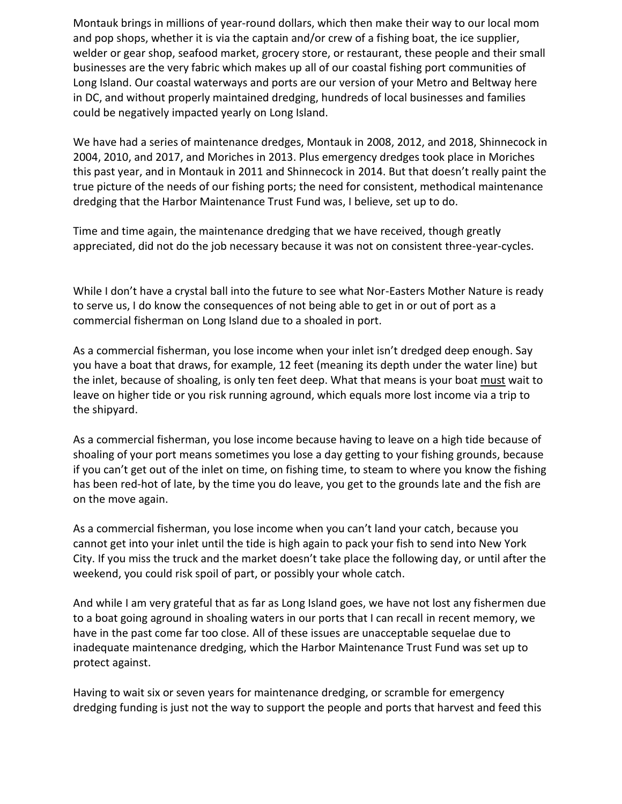Montauk brings in millions of year-round dollars, which then make their way to our local mom and pop shops, whether it is via the captain and/or crew of a fishing boat, the ice supplier, welder or gear shop, seafood market, grocery store, or restaurant, these people and their small businesses are the very fabric which makes up all of our coastal fishing port communities of Long Island. Our coastal waterways and ports are our version of your Metro and Beltway here in DC, and without properly maintained dredging, hundreds of local businesses and families could be negatively impacted yearly on Long Island.

We have had a series of maintenance dredges, Montauk in 2008, 2012, and 2018, Shinnecock in 2004, 2010, and 2017, and Moriches in 2013. Plus emergency dredges took place in Moriches this past year, and in Montauk in 2011 and Shinnecock in 2014. But that doesn't really paint the true picture of the needs of our fishing ports; the need for consistent, methodical maintenance dredging that the Harbor Maintenance Trust Fund was, I believe, set up to do.

Time and time again, the maintenance dredging that we have received, though greatly appreciated, did not do the job necessary because it was not on consistent three-year-cycles.

While I don't have a crystal ball into the future to see what Nor-Easters Mother Nature is ready to serve us, I do know the consequences of not being able to get in or out of port as a commercial fisherman on Long Island due to a shoaled in port.

As a commercial fisherman, you lose income when your inlet isn't dredged deep enough. Say you have a boat that draws, for example, 12 feet (meaning its depth under the water line) but the inlet, because of shoaling, is only ten feet deep. What that means is your boat must wait to leave on higher tide or you risk running aground, which equals more lost income via a trip to the shipyard.

As a commercial fisherman, you lose income because having to leave on a high tide because of shoaling of your port means sometimes you lose a day getting to your fishing grounds, because if you can't get out of the inlet on time, on fishing time, to steam to where you know the fishing has been red-hot of late, by the time you do leave, you get to the grounds late and the fish are on the move again.

As a commercial fisherman, you lose income when you can't land your catch, because you cannot get into your inlet until the tide is high again to pack your fish to send into New York City. If you miss the truck and the market doesn't take place the following day, or until after the weekend, you could risk spoil of part, or possibly your whole catch.

And while I am very grateful that as far as Long Island goes, we have not lost any fishermen due to a boat going aground in shoaling waters in our ports that I can recall in recent memory, we have in the past come far too close. All of these issues are unacceptable sequelae due to inadequate maintenance dredging, which the Harbor Maintenance Trust Fund was set up to protect against.

Having to wait six or seven years for maintenance dredging, or scramble for emergency dredging funding is just not the way to support the people and ports that harvest and feed this